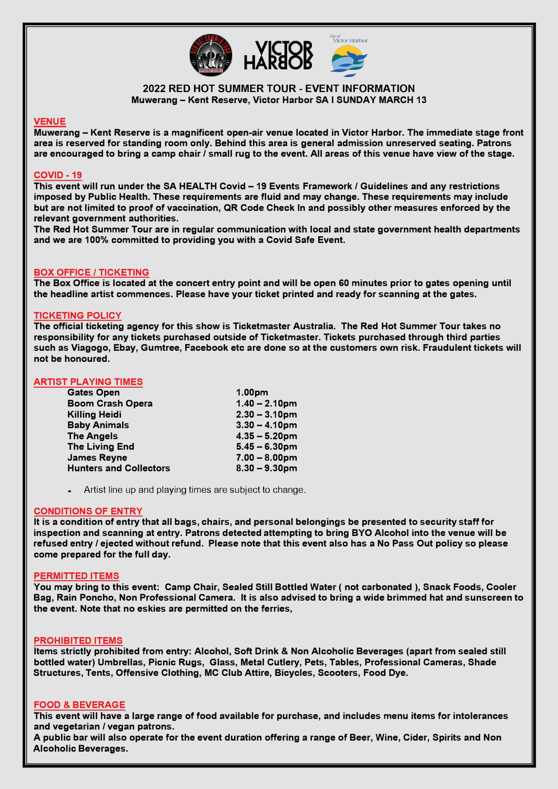

# **2022 RED HOT SUMMER TOUR - EVENT INFORMATION Muwerang - Kent Reserve, Victor Harbor SA I SUNDAY MARCH 13**

# **VENUE**

**Muwerang - Kent Reserve is a magnificent open-air venue located in Victor Harbor. The immediate stage front area is reserved for standing room only. Behind this area is general admission unreserved seating. Patrons are encouraged to bring a camp chair / small rug to the event. All areas of this venue have view of the stage.** 

# **COVID -19**

**This event will run under the SA HEAL TH Covid - 19 Events Framework/ Guidelines and any restrictions imposed by Public Health. These requirements are fluid and may change. These requirements may include but are not limited to proof of vaccination, QR Code Check In and possibly other measures enforced by the relevant government authorities.** 

**The Red Hot Summer Tour are in regular communication with local and state government health departments and we are 100% committed to providing you with a Covid Safe Event.** 

## **BOX OFFICE / TICKETING**

**The Box Office is located at the concert entry point and will be open 60 minutes prior to gates opening until the headline artist commences. Please have your ticket printed and ready for scanning at the gates.** 

# **TICKETING POLICY**

**The official ticketing agency for this show is Ticketmaster Australia. The Red Hot Summer Tour takes no responsibility for any tickets purchased outside of Ticketmaster. Tickets purchased through third parties such as Viagogo, Ebay, Gumtree, Facebook etc are done so at the customers own risk. Fraudulent tickets will not be honoured.** 

# **ARTIST PLAYING TIMES**

| <b>Gates Open</b>             | 1.00pm           |
|-------------------------------|------------------|
| <b>Boom Crash Opera</b>       | $1.40 - 2.10$ pm |
| <b>Killing Heidi</b>          | $2.30 - 3.10$ pm |
| <b>Baby Animals</b>           | $3.30 - 4.10$ pm |
| <b>The Angels</b>             | $4.35 - 5.20$ pm |
| <b>The Living End</b>         | $5.45 - 6.30$ pm |
| <b>James Reyne</b>            | $7.00 - 8.00$ pm |
| <b>Hunters and Collectors</b> | $8.30 - 9.30$ pm |

**Artist line up and playing times are subject to change.** 

# **CONDITIONS OF ENTRY**

**It is a condition of entry that all bags, chairs, and personal belongings be presented to security staff for inspection and scanning at entry. Patrons detected attempting to bring BYO Alcohol into the venue will be refused entry** *I* **ejected without refund. Please note that this event also has a No Pass Out policy so please come prepared for the full day.** 

#### **PERMITTED ITEMS**

**You may bring to this event: Camp Chair, Sealed Still Bottled Water ( not carbonated ), Snack Foods, Cooler Bag, Rain Poncho, Non Professional Camera. It is also advised to bring a wide brimmed hat and sunscreen to the event. Note that no eskies are permitted on the ferries,** 

#### **PROHIBITED ITEMS**

**Items strictly prohibited from entry: Alcohol, Soft Drink & Non Alcoholic Beverages (apart from sealed still bottled water) Umbrellas, Picnic Rugs, Glass, Metal Cutlery, Pets, Tables, Professional Cameras, Shade Structures, Tents, Offensive Clothing, MC Club Attire, Bicycles, Scooters, Food Dye.** 

#### **FOOD & BEVERAGE**

**This event will have a large range of food available for purchase, and includes menu items for intolerances and vegetarian/ vegan patrons.** 

**A public bar will also operate for the event duration offering a range of Beer, Wine, Cider, Spirits and Non Alcoholic Beverages.**